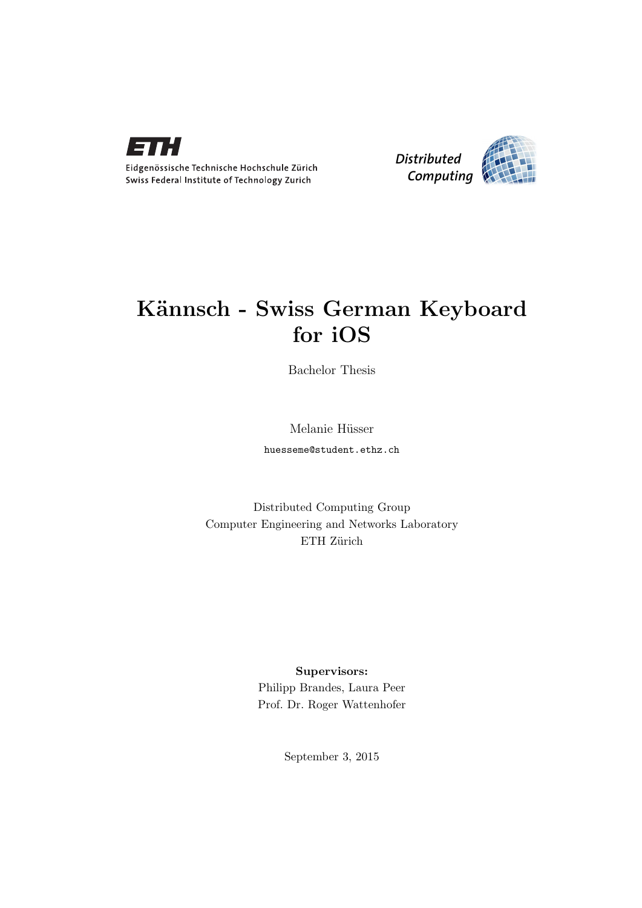

*Distributed Computing* 

## Kännsch - Swiss German Keyboard for iOS

Bachelor Thesis

Melanie Hüsser

huesseme@student.ethz.ch

Distributed Computing Group Computer Engineering and Networks Laboratory ETH Zürich

## Supervisors:

Philipp Brandes, Laura Peer Prof. Dr. Roger Wattenhofer

September 3, 2015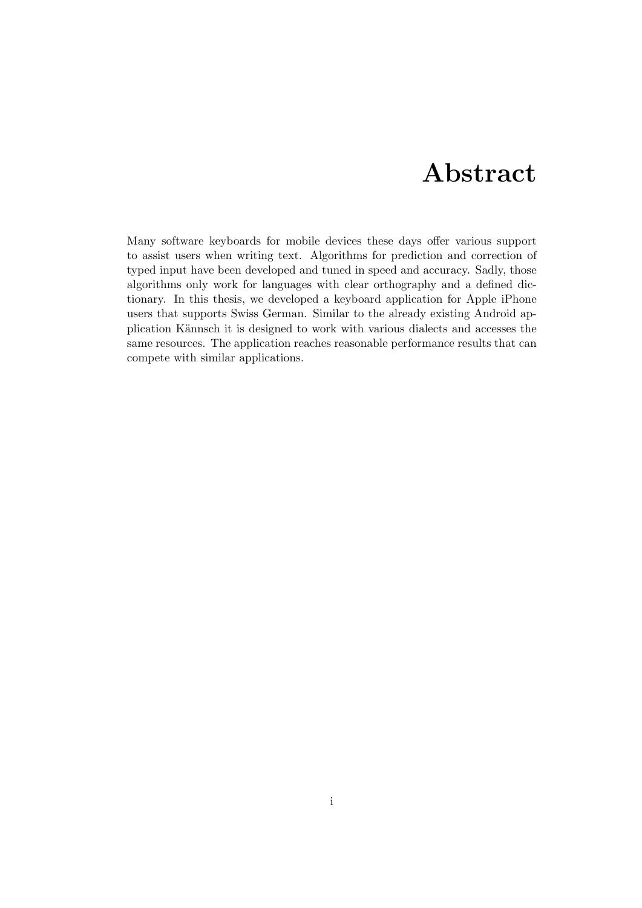## Abstract

<span id="page-1-0"></span>Many software keyboards for mobile devices these days offer various support to assist users when writing text. Algorithms for prediction and correction of typed input have been developed and tuned in speed and accuracy. Sadly, those algorithms only work for languages with clear orthography and a defined dictionary. In this thesis, we developed a keyboard application for Apple iPhone users that supports Swiss German. Similar to the already existing Android application Kännsch it is designed to work with various dialects and accesses the same resources. The application reaches reasonable performance results that can compete with similar applications.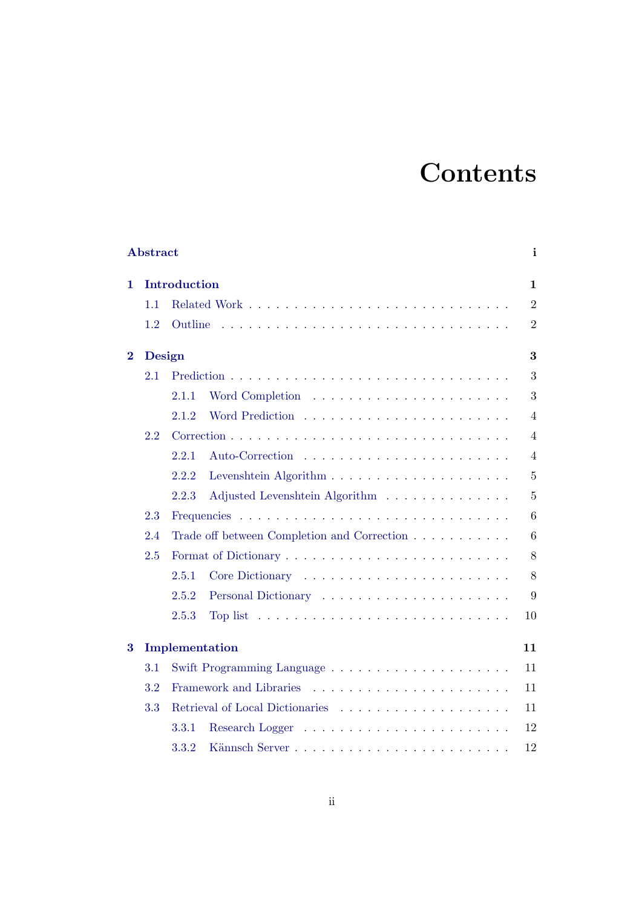# **Contents**

| Abstract |                      |         |                                             |                  |  |  |  |
|----------|----------------------|---------|---------------------------------------------|------------------|--|--|--|
| 1        | Introduction         |         |                                             |                  |  |  |  |
|          | 1.1                  |         |                                             | $\boldsymbol{2}$ |  |  |  |
|          | 1.2                  | Outline |                                             | $\overline{2}$   |  |  |  |
| $\bf{2}$ | 3<br>Design          |         |                                             |                  |  |  |  |
|          | 2.1                  |         |                                             | 3                |  |  |  |
|          |                      | 2.1.1   |                                             | 3                |  |  |  |
|          |                      | 2.1.2   |                                             | $\overline{4}$   |  |  |  |
|          | 2.2                  |         |                                             | $\overline{4}$   |  |  |  |
|          |                      | 2.2.1   |                                             | 4                |  |  |  |
|          |                      | 2.2.2   |                                             | $\overline{5}$   |  |  |  |
|          |                      | 2.2.3   | Adjusted Levenshtein Algorithm              | $\overline{5}$   |  |  |  |
|          | 2.3                  |         |                                             | 6                |  |  |  |
|          | 2.4                  |         | Trade off between Completion and Correction | 6                |  |  |  |
|          | 2.5                  |         |                                             | 8                |  |  |  |
|          |                      | 2.5.1   |                                             | 8                |  |  |  |
|          |                      | 2.5.2   |                                             | 9                |  |  |  |
|          |                      | 2.5.3   |                                             | 10               |  |  |  |
| $\bf{3}$ | Implementation<br>11 |         |                                             |                  |  |  |  |
|          | 3.1                  |         |                                             | 11               |  |  |  |
|          | 3.2                  |         |                                             | 11               |  |  |  |
|          | 3.3                  |         |                                             | 11               |  |  |  |
|          |                      | 3.3.1   |                                             | $12\,$           |  |  |  |
|          |                      | 3.3.2   | Kännsch Server                              | 12               |  |  |  |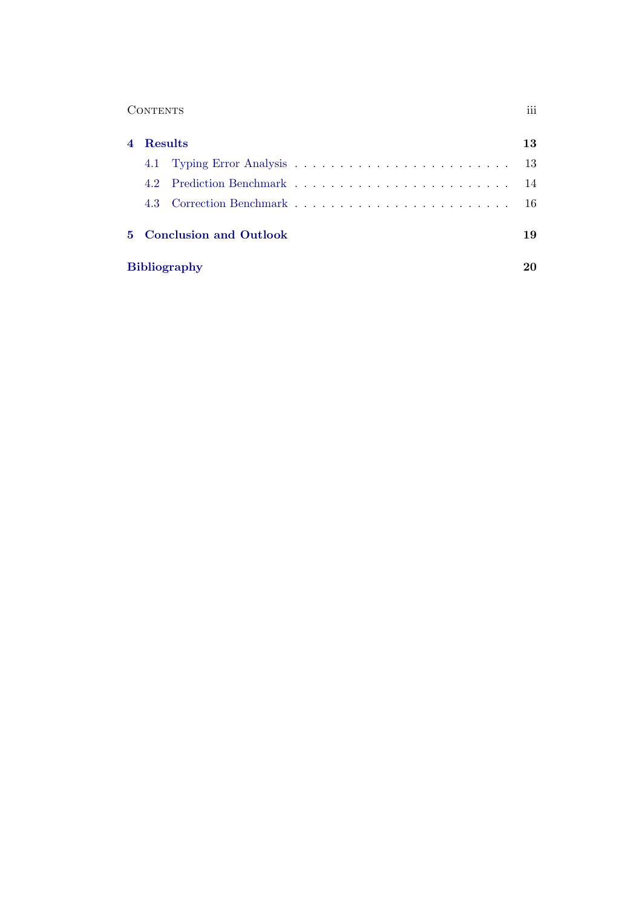| <b>CONTENTS</b> | .<br>111 |
|-----------------|----------|
|-----------------|----------|

| $\overline{4}$ | Results                  |  |      |  |  |  |  |
|----------------|--------------------------|--|------|--|--|--|--|
|                |                          |  | - 13 |  |  |  |  |
|                |                          |  |      |  |  |  |  |
|                | 43                       |  | -16  |  |  |  |  |
|                | 5 Conclusion and Outlook |  |      |  |  |  |  |
|                | <b>Bibliography</b>      |  |      |  |  |  |  |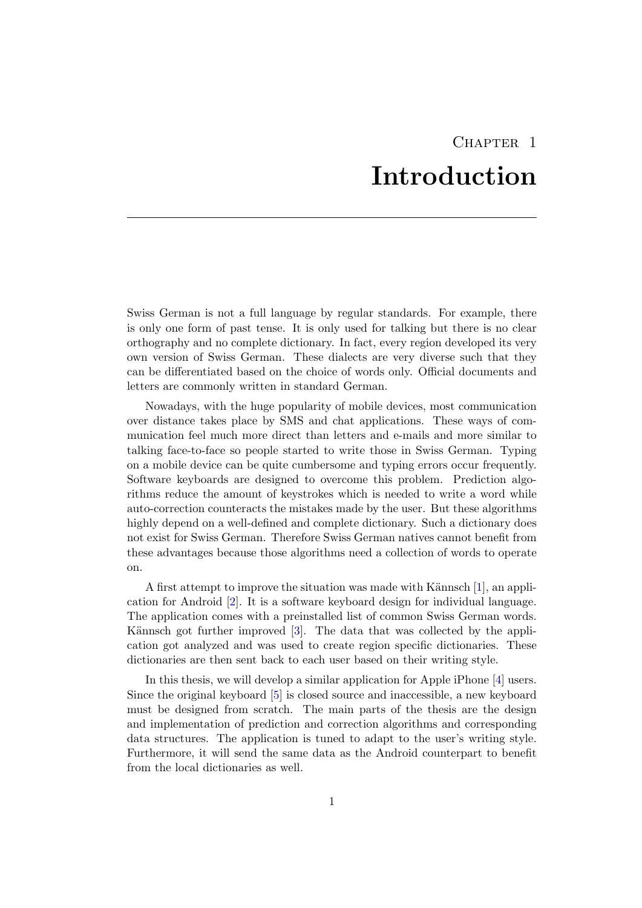# CHAPTER<sub>1</sub> Introduction

<span id="page-4-0"></span>Swiss German is not a full language by regular standards. For example, there is only one form of past tense. It is only used for talking but there is no clear orthography and no complete dictionary. In fact, every region developed its very own version of Swiss German. These dialects are very diverse such that they can be differentiated based on the choice of words only. Official documents and letters are commonly written in standard German.

Nowadays, with the huge popularity of mobile devices, most communication over distance takes place by SMS and chat applications. These ways of communication feel much more direct than letters and e-mails and more similar to talking face-to-face so people started to write those in Swiss German. Typing on a mobile device can be quite cumbersome and typing errors occur frequently. Software keyboards are designed to overcome this problem. Prediction algorithms reduce the amount of keystrokes which is needed to write a word while auto-correction counteracts the mistakes made by the user. But these algorithms highly depend on a well-defined and complete dictionary. Such a dictionary does not exist for Swiss German. Therefore Swiss German natives cannot benefit from these advantages because those algorithms need a collection of words to operate on.

A first attempt to improve the situation was made with Kännsch [\[1\]](#page-23-1), an application for Android [\[2\]](#page-23-2). It is a software keyboard design for individual language. The application comes with a preinstalled list of common Swiss German words. Kännsch got further improved [\[3\]](#page-23-3). The data that was collected by the application got analyzed and was used to create region specific dictionaries. These dictionaries are then sent back to each user based on their writing style.

In this thesis, we will develop a similar application for Apple iPhone [\[4\]](#page-23-4) users. Since the original keyboard [\[5\]](#page-23-5) is closed source and inaccessible, a new keyboard must be designed from scratch. The main parts of the thesis are the design and implementation of prediction and correction algorithms and corresponding data structures. The application is tuned to adapt to the user's writing style. Furthermore, it will send the same data as the Android counterpart to benefit from the local dictionaries as well.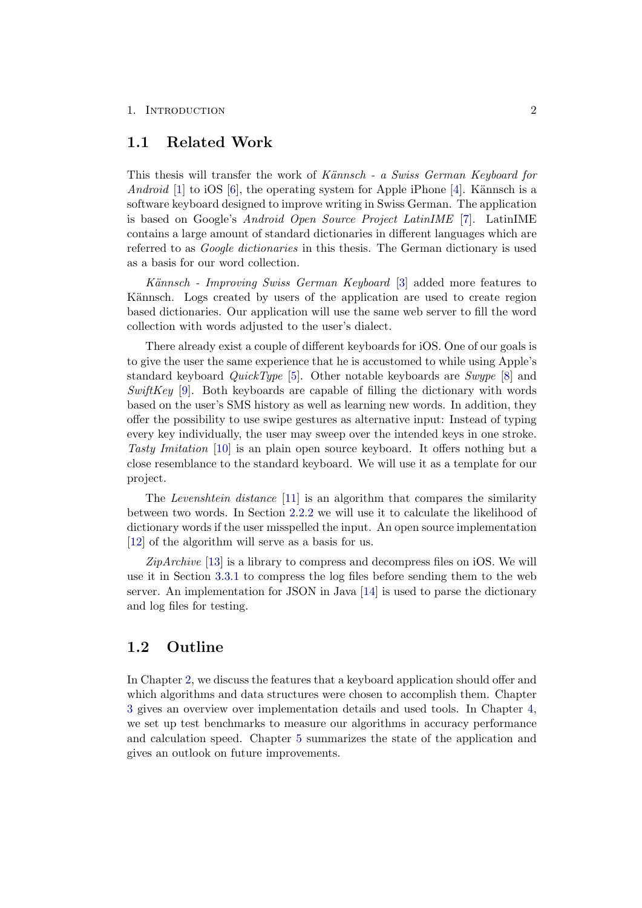#### 1. INTRODUCTION 2

## <span id="page-5-0"></span>1.1 Related Work

This thesis will transfer the work of Kännsch - a Swiss German Keyboard for Android [\[1\]](#page-23-1) to iOS [\[6\]](#page-23-6), the operating system for Apple iPhone [\[4\]](#page-23-4). Kännsch is a software keyboard designed to improve writing in Swiss German. The application is based on Google's Android Open Source Project LatinIME [\[7\]](#page-23-7). LatinIME contains a large amount of standard dictionaries in different languages which are referred to as Google dictionaries in this thesis. The German dictionary is used as a basis for our word collection.

Kännsch - Improving Swiss German Keyboard [\[3\]](#page-23-3) added more features to Kännsch. Logs created by users of the application are used to create region based dictionaries. Our application will use the same web server to fill the word collection with words adjusted to the user's dialect.

There already exist a couple of different keyboards for iOS. One of our goals is to give the user the same experience that he is accustomed to while using Apple's standard keyboard *QuickType* [\[5\]](#page-23-5). Other notable keyboards are *Swype* [\[8\]](#page-23-8) and  $SwiftKey$  [\[9\]](#page-23-9). Both keyboards are capable of filling the dictionary with words based on the user's SMS history as well as learning new words. In addition, they offer the possibility to use swipe gestures as alternative input: Instead of typing every key individually, the user may sweep over the intended keys in one stroke. Tasty Imitation [\[10\]](#page-23-10) is an plain open source keyboard. It offers nothing but a close resemblance to the standard keyboard. We will use it as a template for our project.

The Levenshtein distance [\[11\]](#page-23-11) is an algorithm that compares the similarity between two words. In Section [2.2.2](#page-8-0) we will use it to calculate the likelihood of dictionary words if the user misspelled the input. An open source implementation [\[12\]](#page-23-12) of the algorithm will serve as a basis for us.

 $ZipArchive$  [\[13\]](#page-23-13) is a library to compress and decompress files on iOS. We will use it in Section [3.3.1](#page-15-0) to compress the log files before sending them to the web server. An implementation for JSON in Java [\[14\]](#page-23-14) is used to parse the dictionary and log files for testing.

## <span id="page-5-1"></span>1.2 Outline

In Chapter [2,](#page-6-0) we discuss the features that a keyboard application should offer and which algorithms and data structures were chosen to accomplish them. Chapter [3](#page-14-0) gives an overview over implementation details and used tools. In Chapter [4,](#page-16-0) we set up test benchmarks to measure our algorithms in accuracy performance and calculation speed. Chapter [5](#page-22-0) summarizes the state of the application and gives an outlook on future improvements.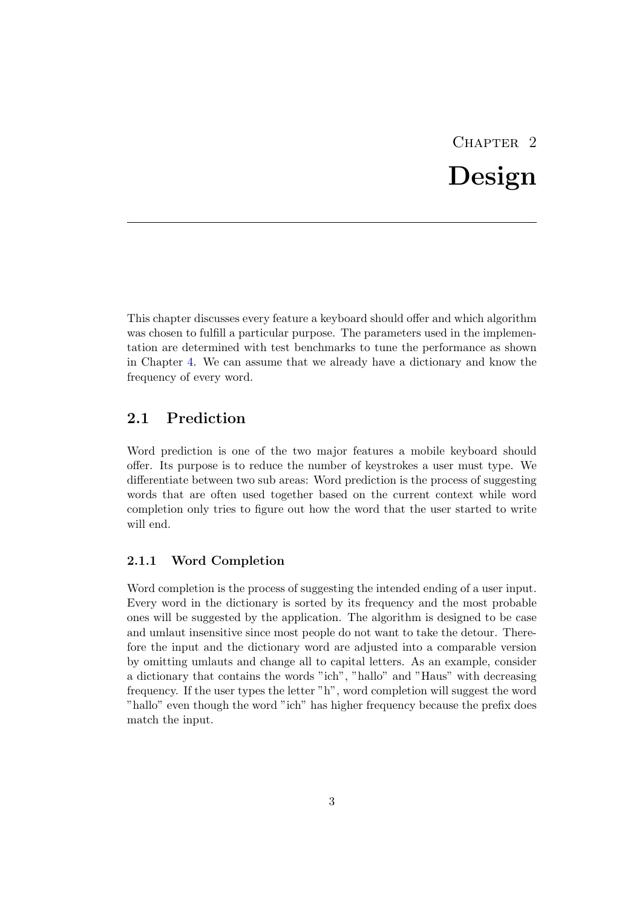# CHAPTER<sub>2</sub> Design

<span id="page-6-0"></span>This chapter discusses every feature a keyboard should offer and which algorithm was chosen to fulfill a particular purpose. The parameters used in the implementation are determined with test benchmarks to tune the performance as shown in Chapter [4.](#page-16-0) We can assume that we already have a dictionary and know the frequency of every word.

## <span id="page-6-1"></span>2.1 Prediction

Word prediction is one of the two major features a mobile keyboard should offer. Its purpose is to reduce the number of keystrokes a user must type. We differentiate between two sub areas: Word prediction is the process of suggesting words that are often used together based on the current context while word completion only tries to figure out how the word that the user started to write will end.

#### <span id="page-6-2"></span>2.1.1 Word Completion

Word completion is the process of suggesting the intended ending of a user input. Every word in the dictionary is sorted by its frequency and the most probable ones will be suggested by the application. The algorithm is designed to be case and umlaut insensitive since most people do not want to take the detour. Therefore the input and the dictionary word are adjusted into a comparable version by omitting umlauts and change all to capital letters. As an example, consider a dictionary that contains the words "ich", "hallo" and "Haus" with decreasing frequency. If the user types the letter "h", word completion will suggest the word "hallo" even though the word "ich" has higher frequency because the prefix does match the input.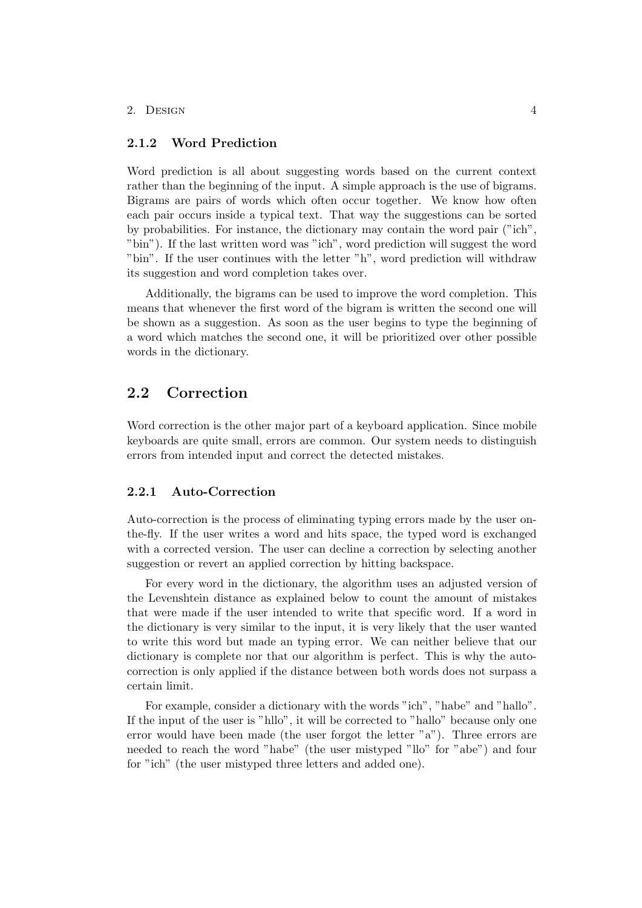#### <span id="page-7-0"></span>2.1.2 Word Prediction

Word prediction is all about suggesting words based on the current context rather than the beginning of the input. A simple approach is the use of bigrams. Bigrams are pairs of words which often occur together. We know how often each pair occurs inside a typical text. That way the suggestions can be sorted by probabilities. For instance, the dictionary may contain the word pair ("ich", "bin"). If the last written word was "ich", word prediction will suggest the word "bin". If the user continues with the letter "h", word prediction will withdraw its suggestion and word completion takes over.

Additionally, the bigrams can be used to improve the word completion. This means that whenever the first word of the bigram is written the second one will be shown as a suggestion. As soon as the user begins to type the beginning of a word which matches the second one, it will be prioritized over other possible words in the dictionary.

## <span id="page-7-1"></span>2.2 Correction

Word correction is the other major part of a keyboard application. Since mobile keyboards are quite small, errors are common. Our system needs to distinguish errors from intended input and correct the detected mistakes.

#### <span id="page-7-2"></span>2.2.1 Auto-Correction

Auto-correction is the process of eliminating typing errors made by the user onthe-fly. If the user writes a word and hits space, the typed word is exchanged with a corrected version. The user can decline a correction by selecting another suggestion or revert an applied correction by hitting backspace.

For every word in the dictionary, the algorithm uses an adjusted version of the Levenshtein distance as explained below to count the amount of mistakes that were made if the user intended to write that specific word. If a word in the dictionary is very similar to the input, it is very likely that the user wanted to write this word but made an typing error. We can neither believe that our dictionary is complete nor that our algorithm is perfect. This is why the autocorrection is only applied if the distance between both words does not surpass a certain limit.

For example, consider a dictionary with the words "ich", "habe" and "hallo". If the input of the user is "hllo", it will be corrected to "hallo" because only one error would have been made (the user forgot the letter "a"). Three errors are needed to reach the word "habe" (the user mistyped "llo" for "abe") and four for "ich" (the user mistyped three letters and added one).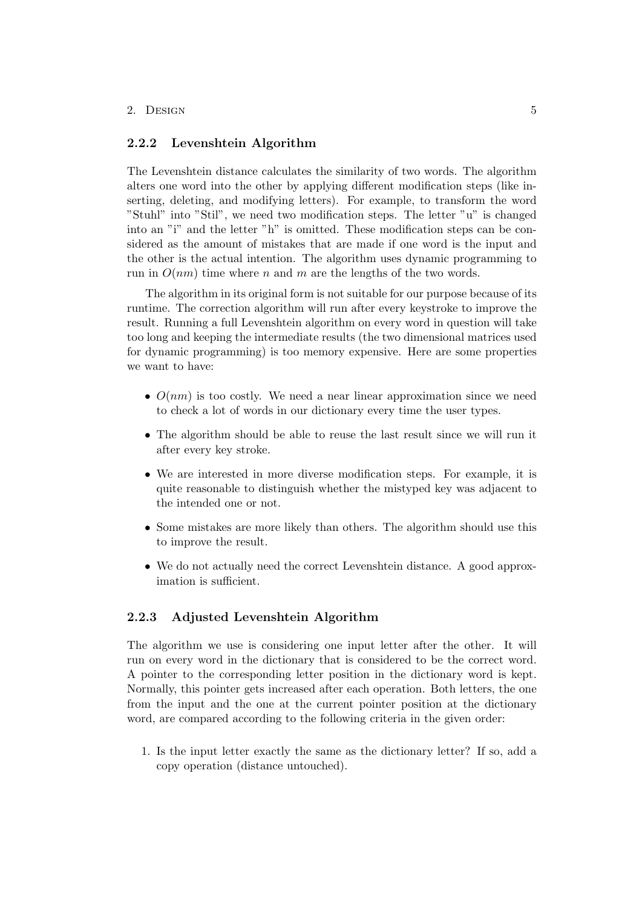#### <span id="page-8-0"></span>2.2.2 Levenshtein Algorithm

The Levenshtein distance calculates the similarity of two words. The algorithm alters one word into the other by applying different modification steps (like inserting, deleting, and modifying letters). For example, to transform the word "Stuhl" into "Stil", we need two modification steps. The letter "u" is changed into an "i" and the letter "h" is omitted. These modification steps can be considered as the amount of mistakes that are made if one word is the input and the other is the actual intention. The algorithm uses dynamic programming to run in  $O(nm)$  time where n and m are the lengths of the two words.

The algorithm in its original form is not suitable for our purpose because of its runtime. The correction algorithm will run after every keystroke to improve the result. Running a full Levenshtein algorithm on every word in question will take too long and keeping the intermediate results (the two dimensional matrices used for dynamic programming) is too memory expensive. Here are some properties we want to have:

- $O(nm)$  is too costly. We need a near linear approximation since we need to check a lot of words in our dictionary every time the user types.
- The algorithm should be able to reuse the last result since we will run it after every key stroke.
- We are interested in more diverse modification steps. For example, it is quite reasonable to distinguish whether the mistyped key was adjacent to the intended one or not.
- Some mistakes are more likely than others. The algorithm should use this to improve the result.
- We do not actually need the correct Levenshtein distance. A good approximation is sufficient.

#### <span id="page-8-1"></span>2.2.3 Adjusted Levenshtein Algorithm

The algorithm we use is considering one input letter after the other. It will run on every word in the dictionary that is considered to be the correct word. A pointer to the corresponding letter position in the dictionary word is kept. Normally, this pointer gets increased after each operation. Both letters, the one from the input and the one at the current pointer position at the dictionary word, are compared according to the following criteria in the given order:

1. Is the input letter exactly the same as the dictionary letter? If so, add a copy operation (distance untouched).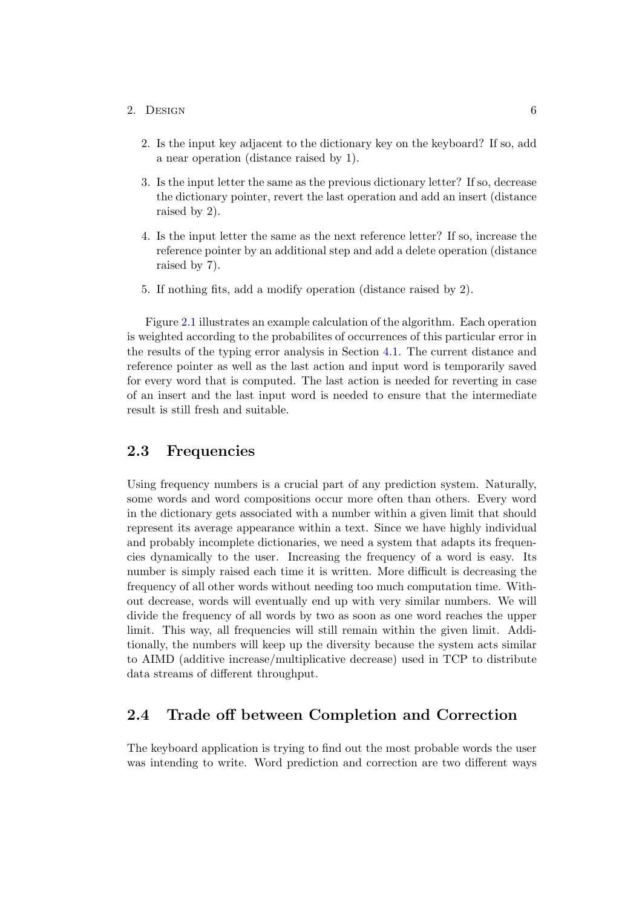- 2. Is the input key adjacent to the dictionary key on the keyboard? If so, add a near operation (distance raised by 1).
- 3. Is the input letter the same as the previous dictionary letter? If so, decrease the dictionary pointer, revert the last operation and add an insert (distance raised by 2).
- 4. Is the input letter the same as the next reference letter? If so, increase the reference pointer by an additional step and add a delete operation (distance raised by 7).
- 5. If nothing fits, add a modify operation (distance raised by 2).

Figure [2.1](#page-10-0) illustrates an example calculation of the algorithm. Each operation is weighted according to the probabilites of occurrences of this particular error in the results of the typing error analysis in Section [4.1.](#page-16-1) The current distance and reference pointer as well as the last action and input word is temporarily saved for every word that is computed. The last action is needed for reverting in case of an insert and the last input word is needed to ensure that the intermediate result is still fresh and suitable.

## <span id="page-9-0"></span>2.3 Frequencies

Using frequency numbers is a crucial part of any prediction system. Naturally, some words and word compositions occur more often than others. Every word in the dictionary gets associated with a number within a given limit that should represent its average appearance within a text. Since we have highly individual and probably incomplete dictionaries, we need a system that adapts its frequencies dynamically to the user. Increasing the frequency of a word is easy. Its number is simply raised each time it is written. More difficult is decreasing the frequency of all other words without needing too much computation time. Without decrease, words will eventually end up with very similar numbers. We will divide the frequency of all words by two as soon as one word reaches the upper limit. This way, all frequencies will still remain within the given limit. Additionally, the numbers will keep up the diversity because the system acts similar to AIMD (additive increase/multiplicative decrease) used in TCP to distribute data streams of different throughput.

## <span id="page-9-1"></span>2.4 Trade off between Completion and Correction

The keyboard application is trying to find out the most probable words the user was intending to write. Word prediction and correction are two different ways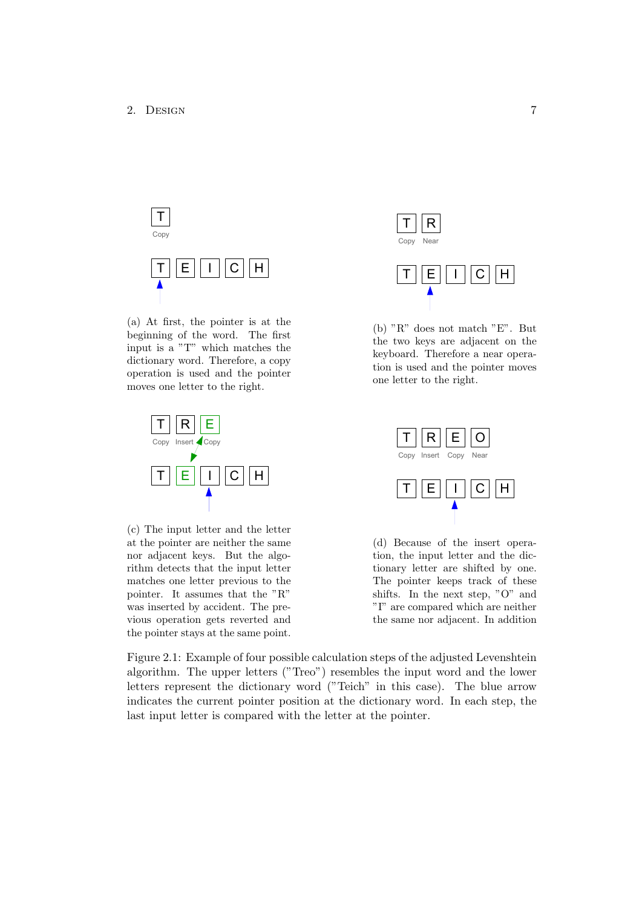<span id="page-10-0"></span>

(a) At first, the pointer is at the beginning of the word. The first input is a "T" which matches the dictionary word. Therefore, a copy operation is used and the pointer moves one letter to the right.



(c) The input letter and the letter at the pointer are neither the same nor adjacent keys. But the algorithm detects that the input letter matches one letter previous to the pointer. It assumes that the "R" was inserted by accident. The previous operation gets reverted and the pointer stays at the same point.



(b) "R" does not match "E". But the two keys are adjacent on the keyboard. Therefore a near operation is used and the pointer moves one letter to the right.



(d) Because of the insert operation, the input letter and the dictionary letter are shifted by one. The pointer keeps track of these shifts. In the next step, "O" and "I" are compared which are neither the same nor adjacent. In addition

Figure 2.1: Example of four possible calculation steps of the adjusted Levenshtein algorithm. The upper letters ("Treo") resembles the input word and the lower letters represent the dictionary word ("Teich" in this case). The blue arrow indicates the current pointer position at the dictionary word. In each step, the last input letter is compared with the letter at the pointer.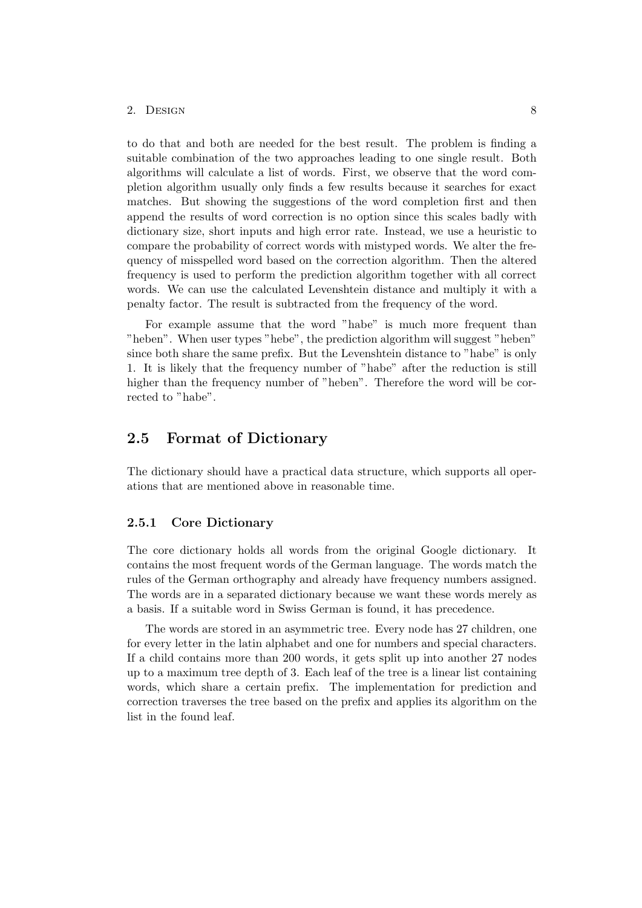to do that and both are needed for the best result. The problem is finding a suitable combination of the two approaches leading to one single result. Both algorithms will calculate a list of words. First, we observe that the word completion algorithm usually only finds a few results because it searches for exact matches. But showing the suggestions of the word completion first and then append the results of word correction is no option since this scales badly with dictionary size, short inputs and high error rate. Instead, we use a heuristic to compare the probability of correct words with mistyped words. We alter the frequency of misspelled word based on the correction algorithm. Then the altered frequency is used to perform the prediction algorithm together with all correct words. We can use the calculated Levenshtein distance and multiply it with a penalty factor. The result is subtracted from the frequency of the word.

For example assume that the word "habe" is much more frequent than "heben". When user types "hebe", the prediction algorithm will suggest "heben" since both share the same prefix. But the Levenshtein distance to "habe" is only 1. It is likely that the frequency number of "habe" after the reduction is still higher than the frequency number of "heben". Therefore the word will be corrected to "habe".

### <span id="page-11-0"></span>2.5 Format of Dictionary

The dictionary should have a practical data structure, which supports all operations that are mentioned above in reasonable time.

#### <span id="page-11-1"></span>2.5.1 Core Dictionary

The core dictionary holds all words from the original Google dictionary. It contains the most frequent words of the German language. The words match the rules of the German orthography and already have frequency numbers assigned. The words are in a separated dictionary because we want these words merely as a basis. If a suitable word in Swiss German is found, it has precedence.

The words are stored in an asymmetric tree. Every node has 27 children, one for every letter in the latin alphabet and one for numbers and special characters. If a child contains more than 200 words, it gets split up into another 27 nodes up to a maximum tree depth of 3. Each leaf of the tree is a linear list containing words, which share a certain prefix. The implementation for prediction and correction traverses the tree based on the prefix and applies its algorithm on the list in the found leaf.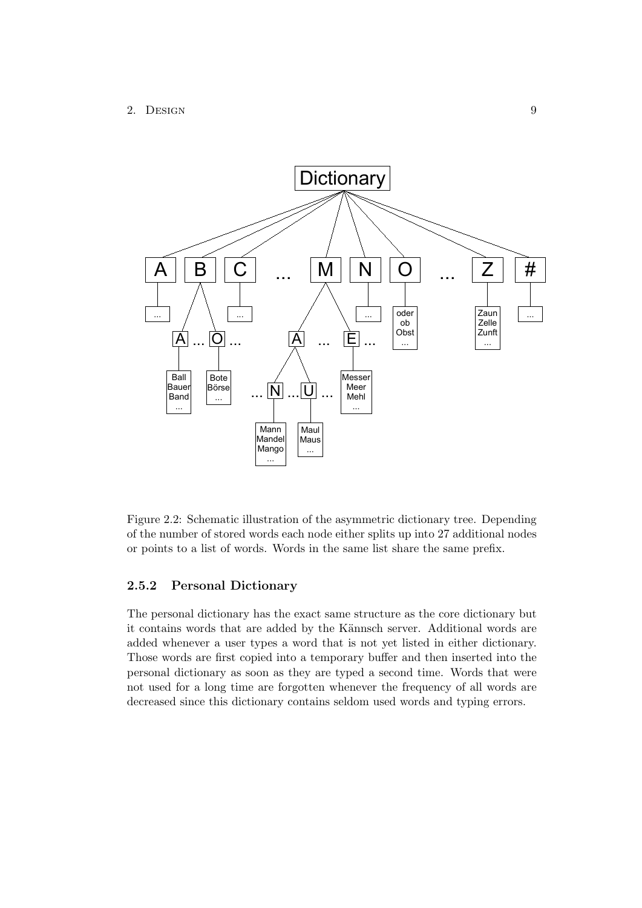

Figure 2.2: Schematic illustration of the asymmetric dictionary tree. Depending of the number of stored words each node either splits up into 27 additional nodes or points to a list of words. Words in the same list share the same prefix.

#### <span id="page-12-0"></span>2.5.2 Personal Dictionary

The personal dictionary has the exact same structure as the core dictionary but it contains words that are added by the Kännsch server. Additional words are added whenever a user types a word that is not yet listed in either dictionary. Those words are first copied into a temporary buffer and then inserted into the personal dictionary as soon as they are typed a second time. Words that were not used for a long time are forgotten whenever the frequency of all words are decreased since this dictionary contains seldom used words and typing errors.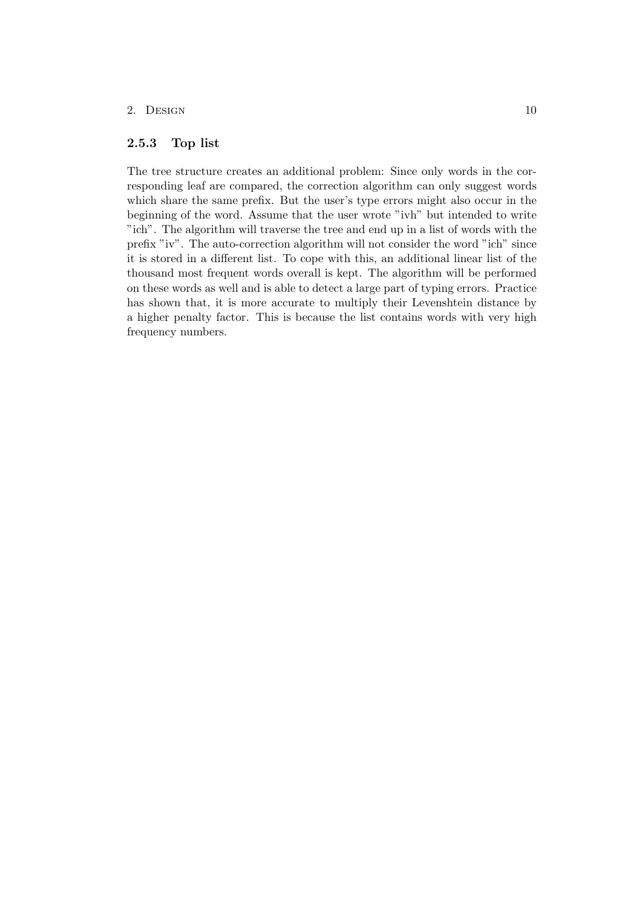#### <span id="page-13-0"></span>2.5.3 Top list

The tree structure creates an additional problem: Since only words in the corresponding leaf are compared, the correction algorithm can only suggest words which share the same prefix. But the user's type errors might also occur in the beginning of the word. Assume that the user wrote "ivh" but intended to write "ich". The algorithm will traverse the tree and end up in a list of words with the prefix "iv". The auto-correction algorithm will not consider the word "ich" since it is stored in a different list. To cope with this, an additional linear list of the thousand most frequent words overall is kept. The algorithm will be performed on these words as well and is able to detect a large part of typing errors. Practice has shown that, it is more accurate to multiply their Levenshtein distance by a higher penalty factor. This is because the list contains words with very high frequency numbers.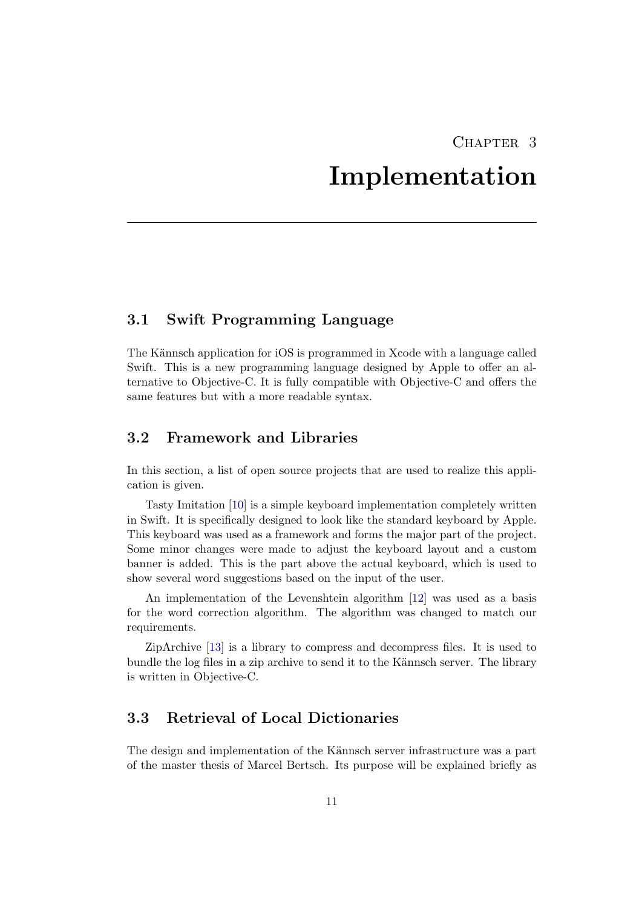## CHAPTER 3

## Implementation

## <span id="page-14-1"></span><span id="page-14-0"></span>3.1 Swift Programming Language

The Kännsch application for iOS is programmed in Xcode with a language called Swift. This is a new programming language designed by Apple to offer an alternative to Objective-C. It is fully compatible with Objective-C and offers the same features but with a more readable syntax.

## <span id="page-14-2"></span>3.2 Framework and Libraries

In this section, a list of open source projects that are used to realize this application is given.

Tasty Imitation [\[10\]](#page-23-10) is a simple keyboard implementation completely written in Swift. It is specifically designed to look like the standard keyboard by Apple. This keyboard was used as a framework and forms the major part of the project. Some minor changes were made to adjust the keyboard layout and a custom banner is added. This is the part above the actual keyboard, which is used to show several word suggestions based on the input of the user.

An implementation of the Levenshtein algorithm [\[12\]](#page-23-12) was used as a basis for the word correction algorithm. The algorithm was changed to match our requirements.

ZipArchive [\[13\]](#page-23-13) is a library to compress and decompress files. It is used to bundle the log files in a zip archive to send it to the Kännsch server. The library is written in Objective-C.

## <span id="page-14-3"></span>3.3 Retrieval of Local Dictionaries

The design and implementation of the Kännsch server infrastructure was a part of the master thesis of Marcel Bertsch. Its purpose will be explained briefly as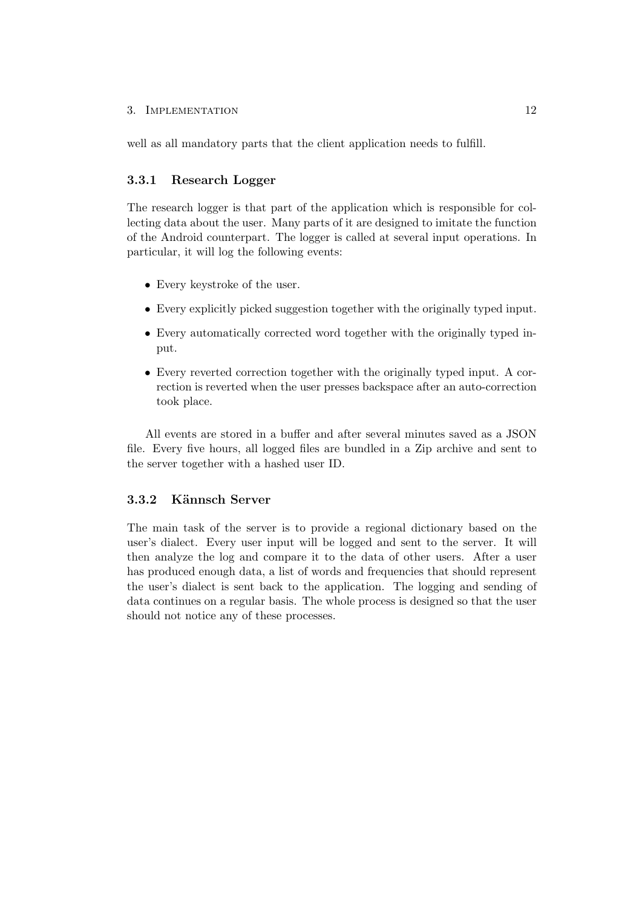#### 3. IMPLEMENTATION 12

well as all mandatory parts that the client application needs to fulfill.

#### <span id="page-15-0"></span>3.3.1 Research Logger

The research logger is that part of the application which is responsible for collecting data about the user. Many parts of it are designed to imitate the function of the Android counterpart. The logger is called at several input operations. In particular, it will log the following events:

- Every keystroke of the user.
- Every explicitly picked suggestion together with the originally typed input.
- Every automatically corrected word together with the originally typed input.
- Every reverted correction together with the originally typed input. A correction is reverted when the user presses backspace after an auto-correction took place.

All events are stored in a buffer and after several minutes saved as a JSON file. Every five hours, all logged files are bundled in a Zip archive and sent to the server together with a hashed user ID.

#### <span id="page-15-1"></span>3.3.2 Kännsch Server

The main task of the server is to provide a regional dictionary based on the user's dialect. Every user input will be logged and sent to the server. It will then analyze the log and compare it to the data of other users. After a user has produced enough data, a list of words and frequencies that should represent the user's dialect is sent back to the application. The logging and sending of data continues on a regular basis. The whole process is designed so that the user should not notice any of these processes.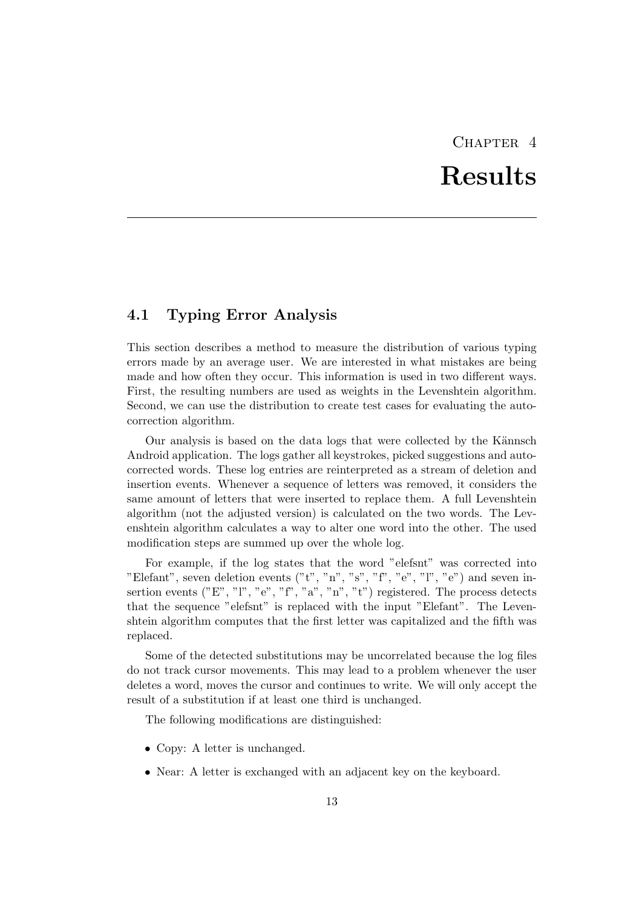# CHAPTER<sub>4</sub> Results

## <span id="page-16-1"></span><span id="page-16-0"></span>4.1 Typing Error Analysis

This section describes a method to measure the distribution of various typing errors made by an average user. We are interested in what mistakes are being made and how often they occur. This information is used in two different ways. First, the resulting numbers are used as weights in the Levenshtein algorithm. Second, we can use the distribution to create test cases for evaluating the autocorrection algorithm.

Our analysis is based on the data logs that were collected by the Kännsch Android application. The logs gather all keystrokes, picked suggestions and autocorrected words. These log entries are reinterpreted as a stream of deletion and insertion events. Whenever a sequence of letters was removed, it considers the same amount of letters that were inserted to replace them. A full Levenshtein algorithm (not the adjusted version) is calculated on the two words. The Levenshtein algorithm calculates a way to alter one word into the other. The used modification steps are summed up over the whole log.

For example, if the log states that the word "elefsnt" was corrected into "Elefant", seven deletion events  $("t", "n", "s", "f", "e", "l", "e")$  and seven insertion events ("E", "l", "e", "f", "a", "n", "t") registered. The process detects that the sequence "elefsnt" is replaced with the input "Elefant". The Levenshtein algorithm computes that the first letter was capitalized and the fifth was replaced.

Some of the detected substitutions may be uncorrelated because the log files do not track cursor movements. This may lead to a problem whenever the user deletes a word, moves the cursor and continues to write. We will only accept the result of a substitution if at least one third is unchanged.

The following modifications are distinguished:

- Copy: A letter is unchanged.
- Near: A letter is exchanged with an adjacent key on the keyboard.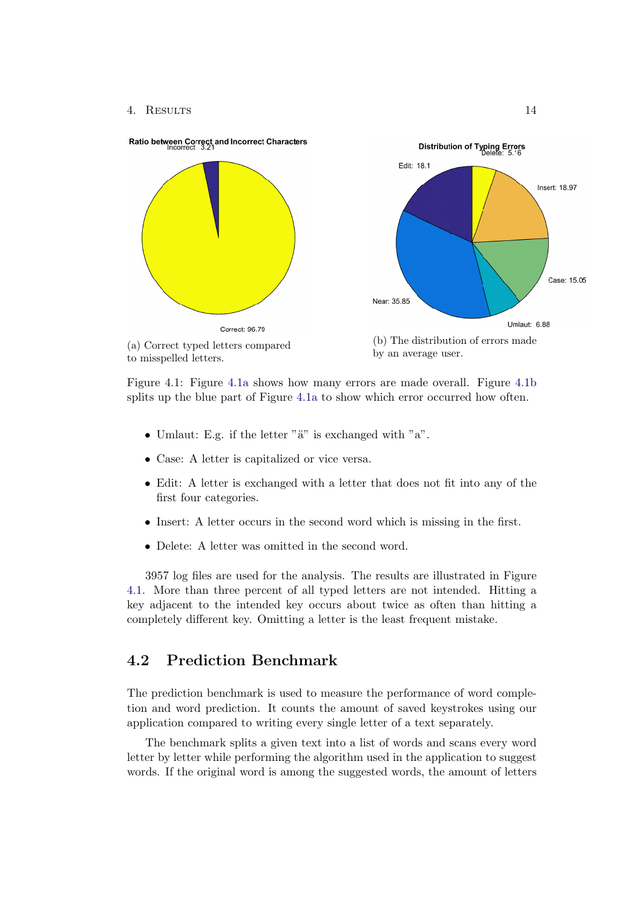<span id="page-17-1"></span>

Figure 4.1: Figure [4.1a](#page-17-1) shows how many errors are made overall. Figure [4.1b](#page-17-1) splits up the blue part of Figure [4.1a](#page-17-1) to show which error occurred how often.

- Umlaut: E.g. if the letter " $\ddot{a}$ " is exchanged with " $a$ ".
- Case: A letter is capitalized or vice versa.
- Edit: A letter is exchanged with a letter that does not fit into any of the first four categories.
- Insert: A letter occurs in the second word which is missing in the first.
- Delete: A letter was omitted in the second word.

3957 log files are used for the analysis. The results are illustrated in Figure [4.1.](#page-17-1) More than three percent of all typed letters are not intended. Hitting a key adjacent to the intended key occurs about twice as often than hitting a completely different key. Omitting a letter is the least frequent mistake.

## <span id="page-17-0"></span>4.2 Prediction Benchmark

The prediction benchmark is used to measure the performance of word completion and word prediction. It counts the amount of saved keystrokes using our application compared to writing every single letter of a text separately.

The benchmark splits a given text into a list of words and scans every word letter by letter while performing the algorithm used in the application to suggest words. If the original word is among the suggested words, the amount of letters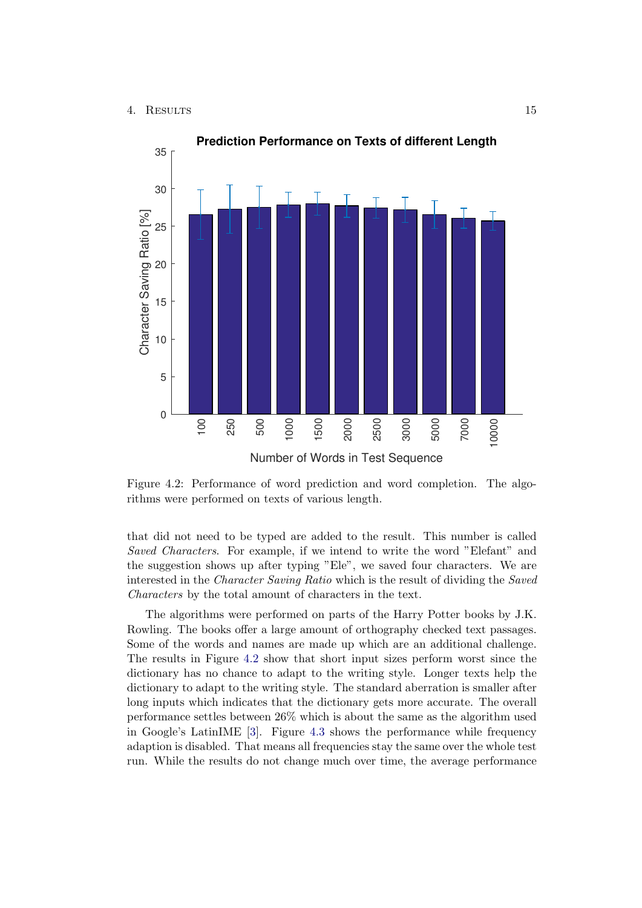<span id="page-18-0"></span>

Figure 4.2: Performance of word prediction and word completion. The algorithms were performed on texts of various length.

that did not need to be typed are added to the result. This number is called Saved Characters. For example, if we intend to write the word "Elefant" and the suggestion shows up after typing "Ele", we saved four characters. We are interested in the Character Saving Ratio which is the result of dividing the Saved Characters by the total amount of characters in the text.

The algorithms were performed on parts of the Harry Potter books by J.K. Rowling. The books offer a large amount of orthography checked text passages. Some of the words and names are made up which are an additional challenge. The results in Figure [4.2](#page-18-0) show that short input sizes perform worst since the dictionary has no chance to adapt to the writing style. Longer texts help the dictionary to adapt to the writing style. The standard aberration is smaller after long inputs which indicates that the dictionary gets more accurate. The overall performance settles between 26% which is about the same as the algorithm used in Google's LatinIME [\[3\]](#page-23-3). Figure [4.3](#page-19-1) shows the performance while frequency adaption is disabled. That means all frequencies stay the same over the whole test run. While the results do not change much over time, the average performance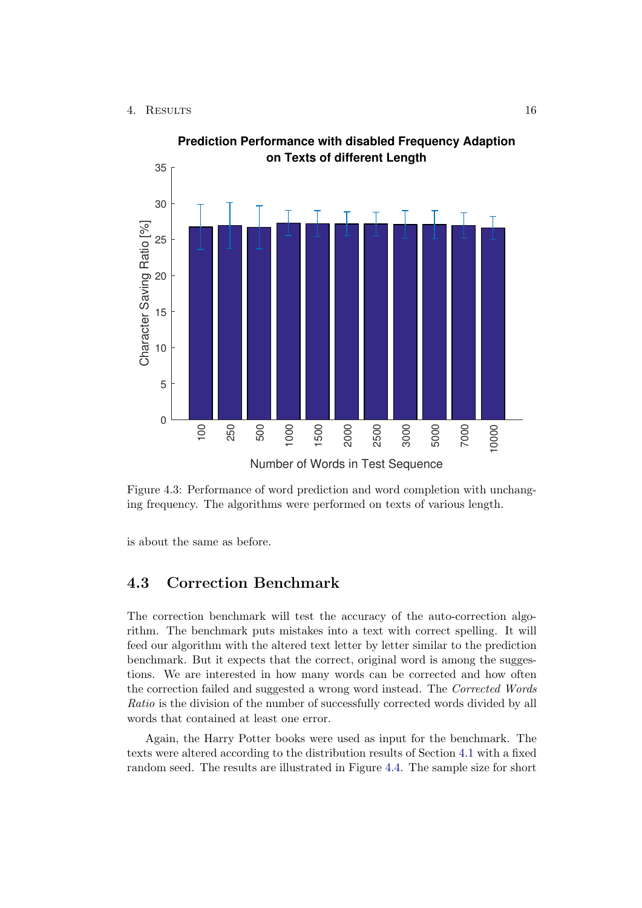<span id="page-19-1"></span>

**Prediction Performance with disabled Frequency Adaption**

Figure 4.3: Performance of word prediction and word completion with unchanging frequency. The algorithms were performed on texts of various length.

is about the same as before.

## <span id="page-19-0"></span>4.3 Correction Benchmark

The correction benchmark will test the accuracy of the auto-correction algorithm. The benchmark puts mistakes into a text with correct spelling. It will feed our algorithm with the altered text letter by letter similar to the prediction benchmark. But it expects that the correct, original word is among the suggestions. We are interested in how many words can be corrected and how often the correction failed and suggested a wrong word instead. The Corrected Words Ratio is the division of the number of successfully corrected words divided by all words that contained at least one error.

Again, the Harry Potter books were used as input for the benchmark. The texts were altered according to the distribution results of Section [4.1](#page-16-1) with a fixed random seed. The results are illustrated in Figure [4.4.](#page-20-0) The sample size for short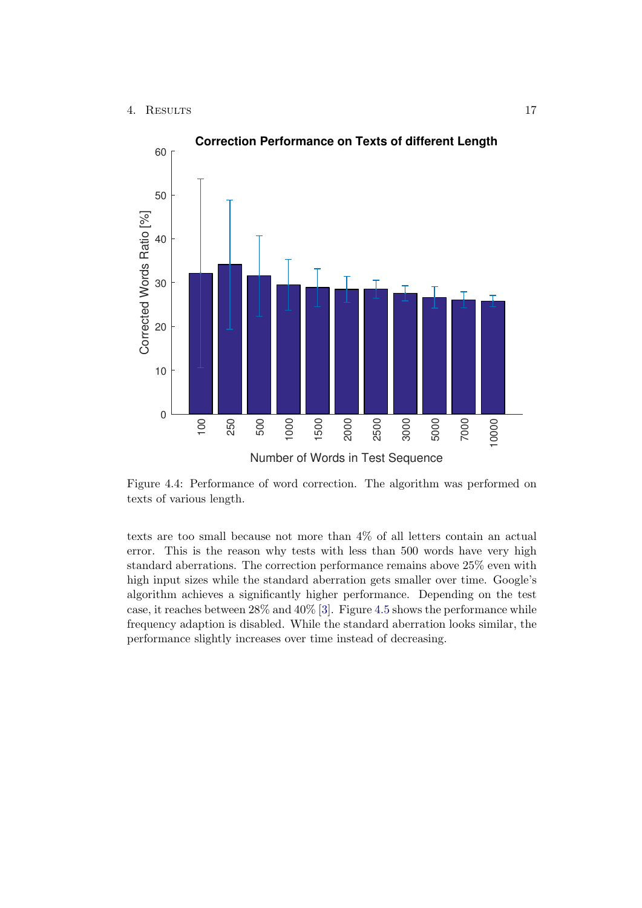<span id="page-20-0"></span>

Figure 4.4: Performance of word correction. The algorithm was performed on texts of various length.

texts are too small because not more than 4% of all letters contain an actual error. This is the reason why tests with less than 500 words have very high standard aberrations. The correction performance remains above 25% even with high input sizes while the standard aberration gets smaller over time. Google's algorithm achieves a significantly higher performance. Depending on the test case, it reaches between 28% and 40% [\[3\]](#page-23-3). Figure [4.5](#page-21-0) shows the performance while frequency adaption is disabled. While the standard aberration looks similar, the performance slightly increases over time instead of decreasing.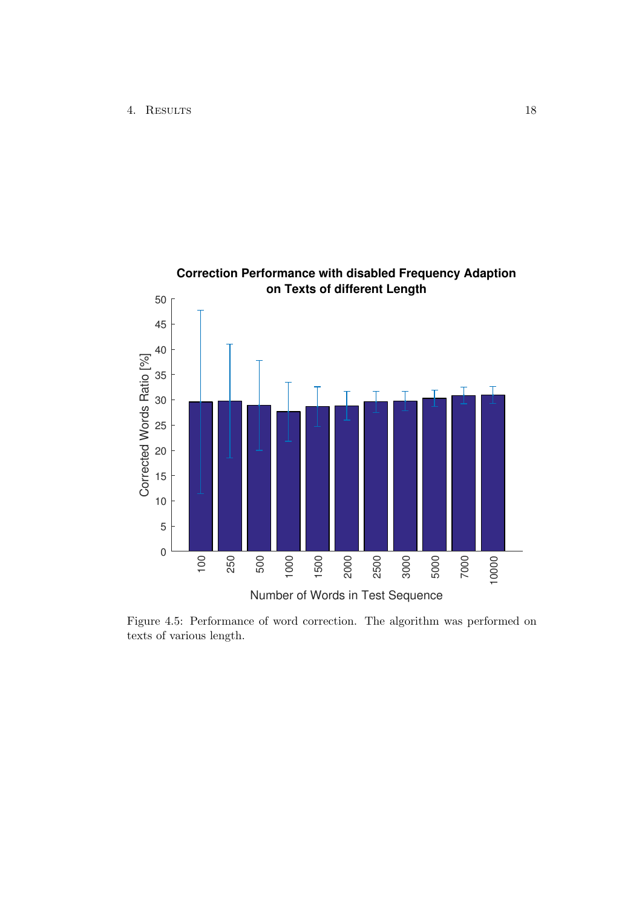<span id="page-21-0"></span>

Figure 4.5: Performance of word correction. The algorithm was performed on texts of various length.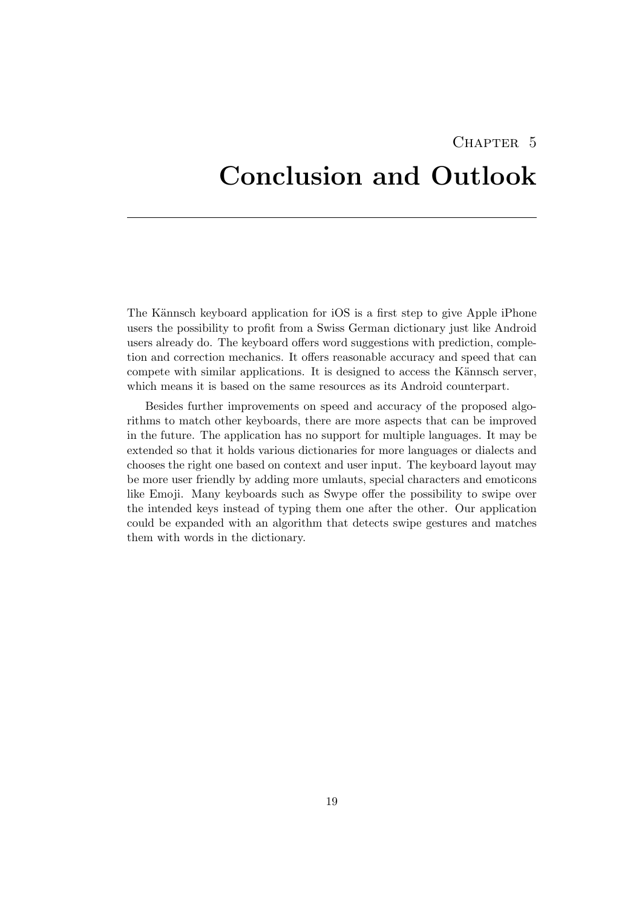# <span id="page-22-0"></span>CHAPTER<sub>5</sub> Conclusion and Outlook

The Kännsch keyboard application for iOS is a first step to give Apple iPhone users the possibility to profit from a Swiss German dictionary just like Android users already do. The keyboard offers word suggestions with prediction, completion and correction mechanics. It offers reasonable accuracy and speed that can compete with similar applications. It is designed to access the Kännsch server, which means it is based on the same resources as its Android counterpart.

Besides further improvements on speed and accuracy of the proposed algorithms to match other keyboards, there are more aspects that can be improved in the future. The application has no support for multiple languages. It may be extended so that it holds various dictionaries for more languages or dialects and chooses the right one based on context and user input. The keyboard layout may be more user friendly by adding more umlauts, special characters and emoticons like Emoji. Many keyboards such as Swype offer the possibility to swipe over the intended keys instead of typing them one after the other. Our application could be expanded with an algorithm that detects swipe gestures and matches them with words in the dictionary.